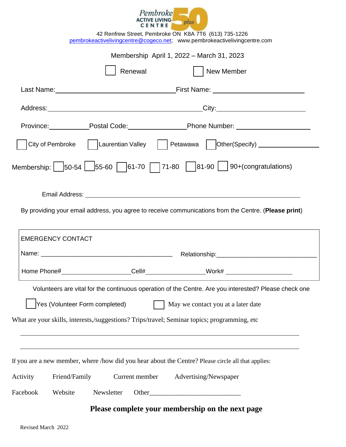| Pembroke                       |      |
|--------------------------------|------|
| <b>ACTIVE LIVING</b><br>CENTRE | plus |

|          |                                |            |                |  | 42 Renfrew Street, Pembroke ON K8A 7T6 (613) 735-1226<br>pembrokeactivelivingcentre@cogeco.net; www.pembrokeactivelivingcentre.com |  |
|----------|--------------------------------|------------|----------------|--|------------------------------------------------------------------------------------------------------------------------------------|--|
|          |                                |            |                |  | Membership April 1, 2022 - March 31, 2023                                                                                          |  |
|          |                                |            | Renewal        |  | New Member                                                                                                                         |  |
|          |                                |            |                |  |                                                                                                                                    |  |
|          |                                |            |                |  |                                                                                                                                    |  |
|          |                                |            |                |  | Province: Postal Code: Province: Phone Number:                                                                                     |  |
|          |                                |            |                |  |                                                                                                                                    |  |
|          |                                |            |                |  | Membership: $\boxed{50-54}$ $\boxed{55-60}$ $\boxed{61-70}$ $\boxed{71-80}$ $\boxed{81-90}$ $\boxed{90+$ (congratulations)         |  |
|          |                                |            |                |  |                                                                                                                                    |  |
|          |                                |            |                |  | By providing your email address, you agree to receive communications from the Centre. (Please print)                               |  |
|          | <b>EMERGENCY CONTACT</b>       |            |                |  |                                                                                                                                    |  |
|          |                                |            |                |  |                                                                                                                                    |  |
|          |                                |            |                |  |                                                                                                                                    |  |
|          |                                |            |                |  | Volunteers are vital for the continuous operation of the Centre. Are you interested? Please check one                              |  |
|          | Yes (Volunteer Form completed) |            |                |  | May we contact you at a later date                                                                                                 |  |
|          |                                |            |                |  | What are your skills, interests,/suggestions? Trips/travel; Seminar topics; programming, etc                                       |  |
|          |                                |            |                |  |                                                                                                                                    |  |
|          |                                |            |                |  | If you are a new member, where /how did you hear about the Centre? Please circle all that applies:                                 |  |
| Activity | Friend/Family                  |            | Current member |  | Advertising/Newspaper                                                                                                              |  |
| Facebook | Website                        | Newsletter |                |  |                                                                                                                                    |  |
|          |                                |            |                |  | Please complete your membership on the next page                                                                                   |  |